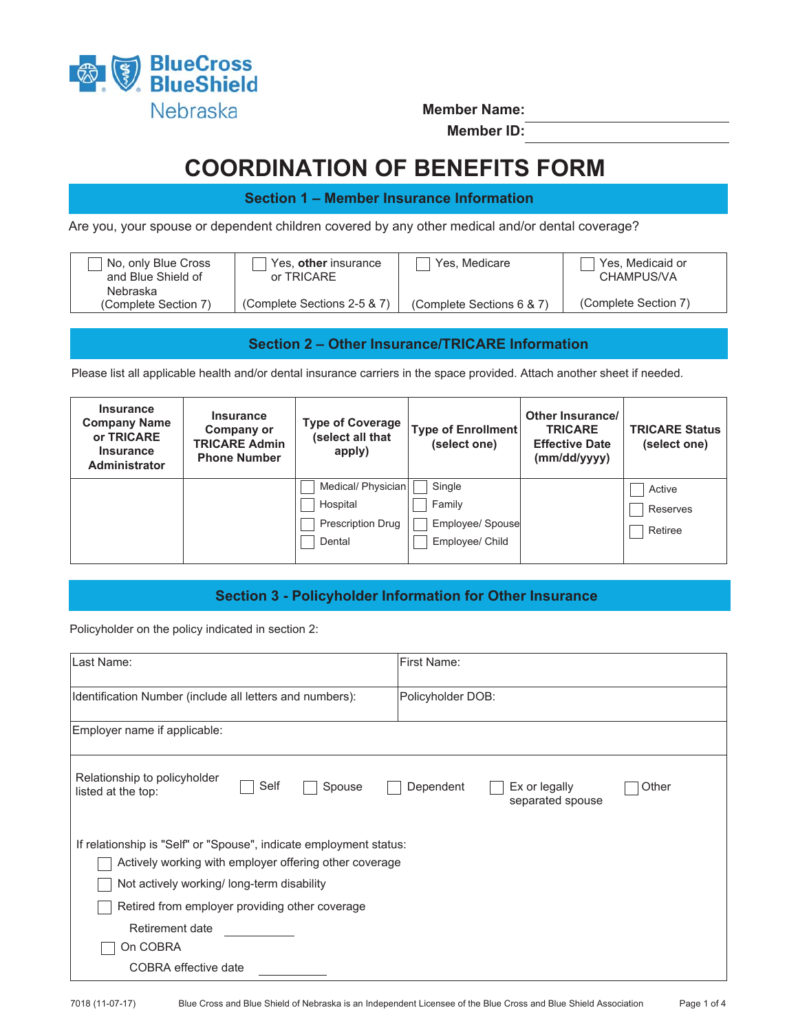

**Member Name:** 

**Member ID:**

# **COORDINATION OF BENEFITS FORM**

**Section 1 – Member Insurance Information**

Are you, your spouse or dependent children covered by any other medical and/or dental coverage?

| No, only Blue Cross              | Yes, other insurance        | Yes, Medicare             | Yes, Medicaid or     |
|----------------------------------|-----------------------------|---------------------------|----------------------|
| and Blue Shield of               | or TRICARE                  |                           | CHAMPUS/VA           |
| Nebraska<br>(Complete Section 7) | (Complete Sections 2-5 & 7) | (Complete Sections 6 & 7) | (Complete Section 7) |

## **Section 2 – Other Insurance/TRICARE Information**

Please list all applicable health and/or dental insurance carriers in the space provided. Attach another sheet if needed.

| <b>Insurance</b><br><b>Company Name</b><br>or TRICARE<br><b>Insurance</b><br><b>Administrator</b> | <b>Insurance</b><br>Company or<br><b>TRICARE Admin</b><br><b>Phone Number</b> | <b>Type of Coverage</b><br>(select all that<br>apply)         | <b>Type of Enrollment</b><br>(select one)               | Other Insurance/<br><b>TRICARE</b><br><b>Effective Date</b><br>(mm/dd/yyyy) | <b>TRICARE Status</b><br>(select one) |
|---------------------------------------------------------------------------------------------------|-------------------------------------------------------------------------------|---------------------------------------------------------------|---------------------------------------------------------|-----------------------------------------------------------------------------|---------------------------------------|
|                                                                                                   |                                                                               | Medical/ Physician<br>Hospital<br>Prescription Drug<br>Dental | Single<br>Family<br>Employee/ Spouse<br>Employee/ Child |                                                                             | Active<br>Reserves<br>Retiree         |

# **Section 3 - Policyholder Information for Other Insurance**

Policyholder on the policy indicated in section 2:

| Last Name:                                                                                                                                                                                                                                                                         | First Name:                                             |  |  |  |  |  |
|------------------------------------------------------------------------------------------------------------------------------------------------------------------------------------------------------------------------------------------------------------------------------------|---------------------------------------------------------|--|--|--|--|--|
| Identification Number (include all letters and numbers):                                                                                                                                                                                                                           | Policyholder DOB:                                       |  |  |  |  |  |
| Employer name if applicable:                                                                                                                                                                                                                                                       |                                                         |  |  |  |  |  |
| Relationship to policyholder<br>Self<br>Spouse<br>listed at the top:                                                                                                                                                                                                               | Dependent<br>Ex or legally<br>Other<br>separated spouse |  |  |  |  |  |
| If relationship is "Self" or "Spouse", indicate employment status:<br>Actively working with employer offering other coverage<br>Not actively working/long-term disability<br>Retired from employer providing other coverage<br>Retirement date<br>On COBRA<br>COBRA effective date |                                                         |  |  |  |  |  |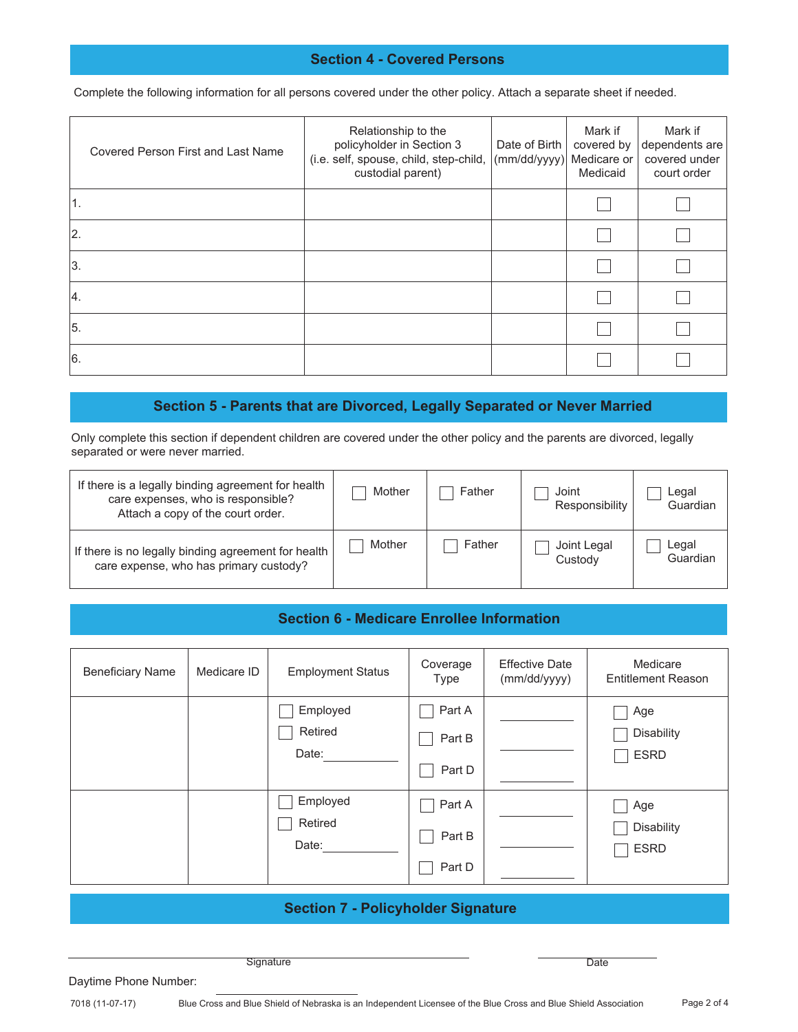#### **Section 4 - Covered Persons**

Complete the following information for all persons covered under the other policy. Attach a separate sheet if needed.

| <b>Covered Person First and Last Name</b> | Relationship to the<br>policyholder in Section 3<br>(i.e. self, spouse, child, step-child,<br>custodial parent) | Date of Birth<br>(mm/dd/yyyy) Medicare or | Mark if<br>covered by<br>Medicaid | Mark if<br>dependents are<br>covered under<br>court order |
|-------------------------------------------|-----------------------------------------------------------------------------------------------------------------|-------------------------------------------|-----------------------------------|-----------------------------------------------------------|
|                                           |                                                                                                                 |                                           |                                   |                                                           |
| 2.                                        |                                                                                                                 |                                           |                                   |                                                           |
| 3.                                        |                                                                                                                 |                                           |                                   |                                                           |
| 14.                                       |                                                                                                                 |                                           |                                   |                                                           |
| 15.                                       |                                                                                                                 |                                           |                                   |                                                           |
| 16.                                       |                                                                                                                 |                                           |                                   |                                                           |

## **Section 5 - Parents that are Divorced, Legally Separated or Never Married**

Only complete this section if dependent children are covered under the other policy and the parents are divorced, legally separated or were never married.

| If there is a legally binding agreement for health<br>care expenses, who is responsible?<br>Attach a copy of the court order. | Mother | Father | Joint<br>Responsibility | Legal<br>Guardian |
|-------------------------------------------------------------------------------------------------------------------------------|--------|--------|-------------------------|-------------------|
| If there is no legally binding agreement for health<br>care expense, who has primary custody?                                 | Mother | Father | Joint Legal<br>Custody  | Legal<br>Guardian |

#### **Section 6 - Medicare Enrollee Information**

| <b>Beneficiary Name</b>                   | Medicare ID | <b>Employment Status</b>     | Coverage<br>Type           | <b>Effective Date</b><br>(mm/dd/yyyy) | Medicare<br><b>Entitlement Reason</b>   |
|-------------------------------------------|-------------|------------------------------|----------------------------|---------------------------------------|-----------------------------------------|
|                                           |             | Employed<br>Retired<br>Date: | Part A<br>Part B<br>Part D |                                       | Age<br><b>Disability</b><br><b>ESRD</b> |
|                                           |             | Employed<br>Retired<br>Date: | Part A<br>Part B<br>Part D |                                       | Age<br><b>Disability</b><br><b>ESRD</b> |
| <b>Section 7 - Policyholder Signature</b> |             |                              |                            |                                       |                                         |

**Signature** 

Daytime Phone Number:

**Date**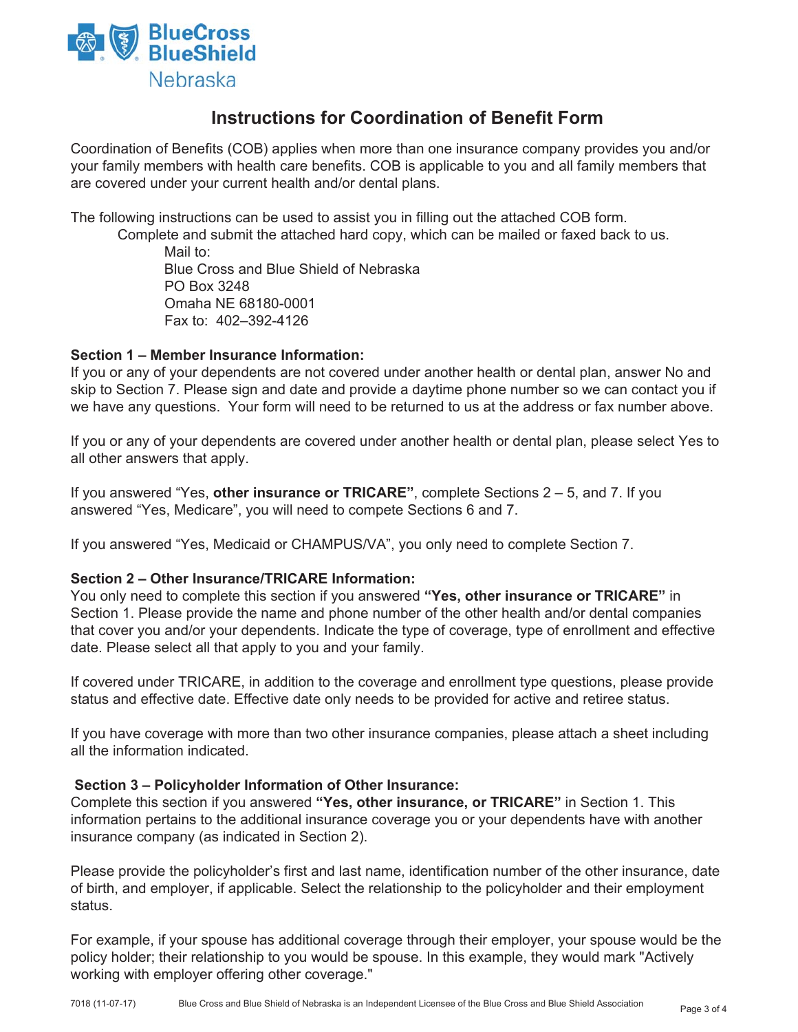

# **Instructions for Coordination of Benefit Form**

Coordination of Benefits (COB) applies when more than one insurance company provides you and/or your family members with health care benefits. COB is applicable to you and all family members that are covered under your current health and/or dental plans.

The following instructions can be used to assist you in filling out the attached COB form.

 Complete and submit the attached hard copy, which can be mailed or faxed back to us. Mail to: Blue Cross and Blue Shield of Nebraska PO Box 3248

 Omaha NE 68180-0001 Fax to: 402–392-4126

#### **Section 1 – Member Insurance Information:**

If you or any of your dependents are not covered under another health or dental plan, answer No and skip to Section 7. Please sign and date and provide a daytime phone number so we can contact you if we have any questions. Your form will need to be returned to us at the address or fax number above.

If you or any of your dependents are covered under another health or dental plan, please select Yes to all other answers that apply.

If you answered "Yes, **other insurance or TRICARE"**, complete Sections 2 – 5, and 7. If you answered "Yes, Medicare", you will need to compete Sections 6 and 7.

If you answered "Yes, Medicaid or CHAMPUS/VA", you only need to complete Section 7.

#### **Section 2 – Other Insurance/TRICARE Information:**

You only need to complete this section if you answered **"Yes, other insurance or TRICARE"** in Section 1. Please provide the name and phone number of the other health and/or dental companies that cover you and/or your dependents. Indicate the type of coverage, type of enrollment and effective date. Please select all that apply to you and your family.

If covered under TRICARE, in addition to the coverage and enrollment type questions, please provide status and effective date. Effective date only needs to be provided for active and retiree status.

If you have coverage with more than two other insurance companies, please attach a sheet including all the information indicated.

#### **Section 3 – Policyholder Information of Other Insurance:**

Complete this section if you answered **"Yes, other insurance, or TRICARE"** in Section 1. This information pertains to the additional insurance coverage you or your dependents have with another insurance company (as indicated in Section 2).

Please provide the policyholder's first and last name, identification number of the other insurance, date of birth, and employer, if applicable. Select the relationship to the policyholder and their employment status.

For example, if your spouse has additional coverage through their employer, your spouse would be the policy holder; their relationship to you would be spouse. In this example, they would mark "Actively working with employer offering other coverage."